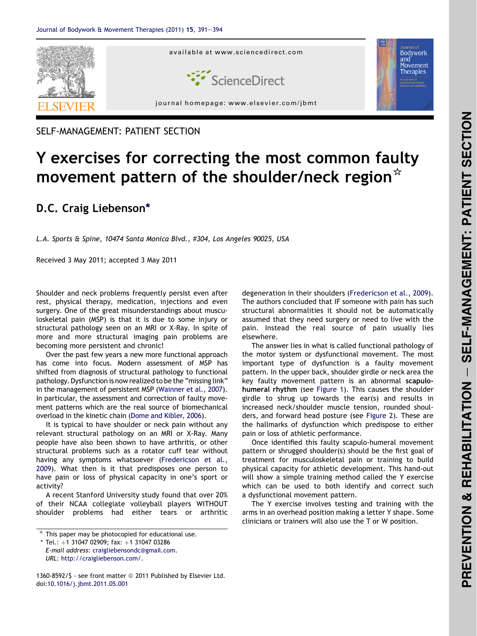

SELF-MANAGEMENT: PATIENT SECTION

## Y exercises for correcting the most common faulty movement pattern of the shoulder/neck region $*$

## D.C. Craig Liebenson\*

L.A. Sports & Spine, 10474 Santa Monica Blvd., #304, Los Angeles 90025, USA

Received 3 May 2011; accepted 3 May 2011

Shoulder and neck problems frequently persist even after rest, physical therapy, medication, injections and even surgery. One of the great misunderstandings about musculoskeletal pain (MSP) is that it is due to some injury or structural pathology seen on an MRI or X-Ray. In spite of more and more structural imaging pain problems are becoming more persistent and chronic!

Over the past few years a new more functional approach has come into focus. Modern assessment of MSP has shifted from diagnosis of structural pathology to functional pathology. Dysfunction is now realized to be the "missing link" in the management of persistent MSP [\(Wainner et al., 2007](#page-3-0)). In particular, the assessment and correction of faulty movement patterns which are the real source of biomechanical overload in the kinetic chain [\(Dome and Kibler, 2006\)](#page-3-0).

It is typical to have shoulder or neck pain without any relevant structural pathology on an MRI or X-Ray. Many people have also been shown to have arthritis, or other structural problems such as a rotator cuff tear without having any symptoms whatsoever ([Fredericson et al.,](#page-3-0) [2009](#page-3-0)). What then is it that predisposes one person to have pain or loss of physical capacity in one's sport or activity?

A recent Stanford University study found that over 20% of their NCAA collegiate volleyball players WITHOUT shoulder problems had either tears or arthritic degeneration in their shoulders [\(Fredericson et al., 2009\)](#page-3-0). The authors concluded that IF someone with pain has such structural abnormalities it should not be automatically assumed that they need surgery or need to live with the pain. Instead the real source of pain usually lies elsewhere.

The answer lies in what is called functional pathology of the motor system or dysfunctional movement. The most important type of dysfunction is a faulty movement pattern. In the upper back, shoulder girdle or neck area the key faulty movement pattern is an abnormal scapulohumeral rhythm (see [Figure 1](#page-1-0)). This causes the shoulder girdle to shrug up towards the ear(s) and results in increased neck/shoulder muscle tension, rounded shoulders, and forward head posture (see [Figure 2\)](#page-2-0). These are the hallmarks of dysfunction which predispose to either pain or loss of athletic performance.

Once identified this faulty scapulo-humeral movement pattern or shrugged shoulder(s) should be the first goal of treatment for musculoskeletal pain or training to build physical capacity for athletic development. This hand-out will show a simple training method called the Y exercise which can be used to both identify and correct such a dysfunctional movement pattern.

The Y exercise involves testing and training with the arms in an overhead position making a letter Y shape. Some clinicians or trainers will also use the T or W position.

1360-8592/\$ - see front matter © 2011 Published by Elsevier Ltd. doi[:10.1016/j.jbmt.2011.05.001](http://dx.doi.org/10.1016/j.jbmt.2011.05.001)

 $*$  This paper may be photocopied for educational use.

 $*$  Tel.: +1 31047 02909; fax: +1 31047 03286 E-mail address: [craigliebensondc@gmail.com.](mailto:craigliebensondc@gmail.com)

URL: http://craigliebenson.com/.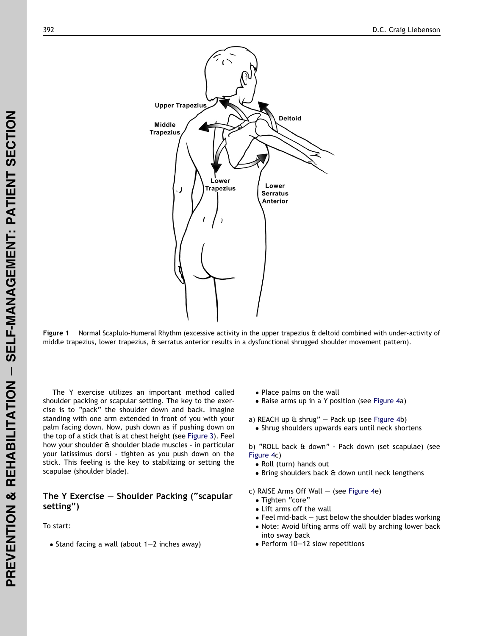<span id="page-1-0"></span>

Figure 1 Normal Scaplulo-Humeral Rhythm (excessive activity in the upper trapezius & deltoid combined with under-activity of middle trapezius, lower trapezius, & serratus anterior results in a dysfunctional shrugged shoulder movement pattern).

The Y exercise utilizes an important method called shoulder packing or scapular setting. The key to the exercise is to "pack" the shoulder down and back. Imagine standing with one arm extended in front of you with your palm facing down. Now, push down as if pushing down on the top of a stick that is at chest height (see [Figure 3\)](#page-2-0). Feel how your shoulder & shoulder blade muscles - in particular your latissimus dorsi - tighten as you push down on the stick. This feeling is the key to stabilizing or setting the scapulae (shoulder blade).

## The Y Exercise  $-$  Shoulder Packing ("scapular setting")

To start:

 $\bullet$  Stand facing a wall (about 1–2 inches away)

- Place palms on the wall
- Raise arms up in a Y position (see [Figure 4a](#page-3-0))
- a) REACH up  $\text{ft}$  shrug" Pack up (see [Figure 4b](#page-3-0))
	- Shrug shoulders upwards ears until neck shortens

b) "ROLL back & down" - Pack down (set scapulae) (see [Figure 4c](#page-3-0))

- Roll (turn) hands out
- Bring shoulders back & down until neck lengthens

c) RAISE Arms Off Wall  $-$  (see [Figure 4](#page-3-0)e)

- Tighten "core"
- Lift arms off the wall
- $\bullet$  Feel mid-back  $-$  just below the shoulder blades working
- Note: Avoid lifting arms off wall by arching lower back into sway back
- Perform 10–12 slow repetitions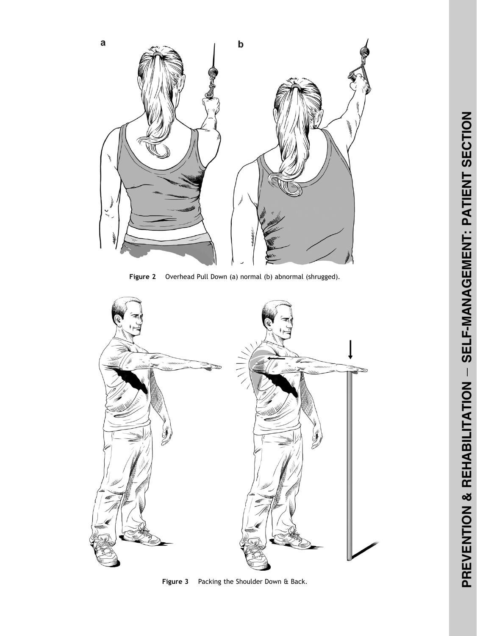<span id="page-2-0"></span>

Figure 2 Overhead Pull Down (a) normal (b) abnormal (shrugged).



Figure 3 Packing the Shoulder Down & Back.